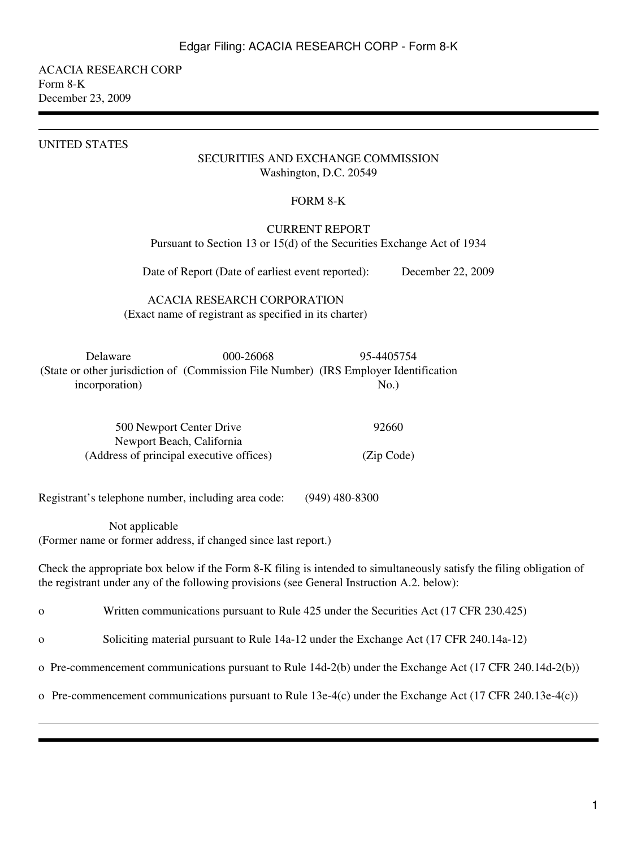ACACIA RESEARCH CORP Form 8-K December 23, 2009

#### UNITED STATES

### SECURITIES AND EXCHANGE COMMISSION Washington, D.C. 20549

#### FORM 8-K

## CURRENT REPORT Pursuant to Section 13 or 15(d) of the Securities Exchange Act of 1934

Date of Report (Date of earliest event reported): December 22, 2009

# ACACIA RESEARCH CORPORATION (Exact name of registrant as specified in its charter)

Delaware 000-26068 95-4405754 (State or other jurisdiction of (Commission File Number) (IRS Employer Identification incorporation)  $No.$ 

| 500 Newport Center Drive                 | 92660      |
|------------------------------------------|------------|
| Newport Beach, California                |            |
| (Address of principal executive offices) | (Zip Code) |

Registrant's telephone number, including area code: (949) 480-8300

 Not applicable (Former name or former address, if changed since last report.)

Check the appropriate box below if the Form 8-K filing is intended to simultaneously satisfy the filing obligation of the registrant under any of the following provisions (see General Instruction A.2. below):

o Written communications pursuant to Rule 425 under the Securities Act (17 CFR 230.425)

o Soliciting material pursuant to Rule 14a-12 under the Exchange Act (17 CFR 240.14a-12)

o Pre-commencement communications pursuant to Rule 14d-2(b) under the Exchange Act (17 CFR 240.14d-2(b))

o Pre-commencement communications pursuant to Rule 13e-4(c) under the Exchange Act (17 CFR 240.13e-4(c))